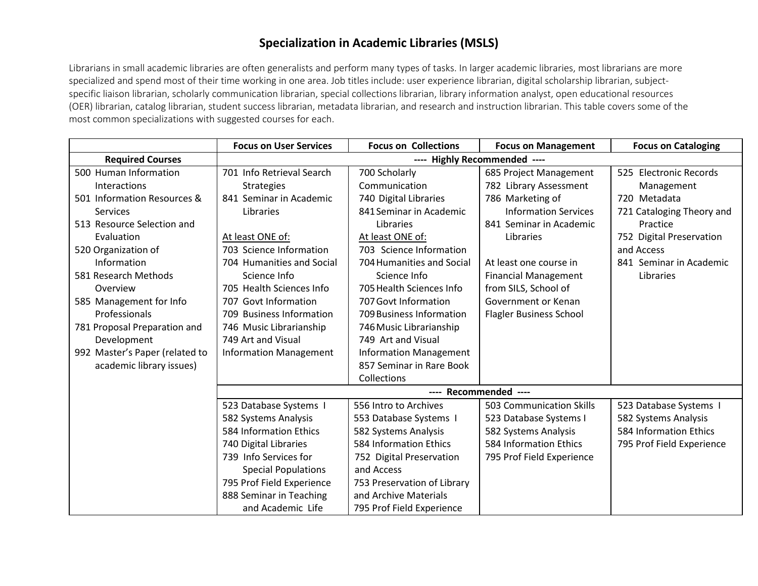## **Specialization in Academic Libraries (MSLS)**

Librarians in small academic libraries are often generalists and perform many types of tasks. In larger academic libraries, most librarians are more specialized and spend most of their time working in one area. Job titles include: user experience librarian, digital scholarship librarian, subjectspecific liaison librarian, scholarly communication librarian, special collections librarian, library information analyst, open educational resources (OER) librarian, catalog librarian, student success librarian, metadata librarian, and research and instruction librarian. This table covers some of the most common specializations with suggested courses for each.

|                                | <b>Focus on User Services</b> | <b>Focus on Collections</b>   | <b>Focus on Management</b>     | <b>Focus on Cataloging</b> |
|--------------------------------|-------------------------------|-------------------------------|--------------------------------|----------------------------|
| <b>Required Courses</b>        | ---- Highly Recommended ----  |                               |                                |                            |
| 500 Human Information          | 701 Info Retrieval Search     | 700 Scholarly                 | 685 Project Management         | 525 Electronic Records     |
| Interactions                   | <b>Strategies</b>             | Communication                 | 782 Library Assessment         | Management                 |
| 501 Information Resources &    | 841 Seminar in Academic       | 740 Digital Libraries         | 786 Marketing of               | 720 Metadata               |
| Services                       | Libraries                     | 841 Seminar in Academic       | <b>Information Services</b>    | 721 Cataloging Theory and  |
| 513 Resource Selection and     |                               | Libraries                     | 841 Seminar in Academic        | Practice                   |
| Evaluation                     | At least ONE of:              | At least ONE of:              | Libraries                      | 752 Digital Preservation   |
| 520 Organization of            | 703 Science Information       | 703 Science Information       |                                | and Access                 |
| Information                    | 704 Humanities and Social     | 704 Humanities and Social     | At least one course in         | 841 Seminar in Academic    |
| 581 Research Methods           | Science Info                  | Science Info                  | <b>Financial Management</b>    | Libraries                  |
| Overview                       | 705 Health Sciences Info      | 705 Health Sciences Info      | from SILS, School of           |                            |
| 585 Management for Info        | 707 Govt Information          | 707 Govt Information          | Government or Kenan            |                            |
| Professionals                  | 709 Business Information      | 709 Business Information      | <b>Flagler Business School</b> |                            |
| 781 Proposal Preparation and   | 746 Music Librarianship       | 746 Music Librarianship       |                                |                            |
| Development                    | 749 Art and Visual            | 749 Art and Visual            |                                |                            |
| 992 Master's Paper (related to | <b>Information Management</b> | <b>Information Management</b> |                                |                            |
| academic library issues)       |                               | 857 Seminar in Rare Book      |                                |                            |
|                                |                               | Collections                   |                                |                            |
|                                | ---- Recommended ----         |                               |                                |                            |
|                                | 523 Database Systems I        | 556 Intro to Archives         | 503 Communication Skills       | 523 Database Systems I     |
|                                | 582 Systems Analysis          | 553 Database Systems I        | 523 Database Systems I         | 582 Systems Analysis       |
|                                | 584 Information Ethics        | 582 Systems Analysis          | 582 Systems Analysis           | 584 Information Ethics     |
|                                | 740 Digital Libraries         | 584 Information Ethics        | 584 Information Ethics         | 795 Prof Field Experience  |
|                                | 739 Info Services for         | 752 Digital Preservation      | 795 Prof Field Experience      |                            |
|                                | <b>Special Populations</b>    | and Access                    |                                |                            |
|                                | 795 Prof Field Experience     | 753 Preservation of Library   |                                |                            |
|                                | 888 Seminar in Teaching       | and Archive Materials         |                                |                            |
|                                | and Academic Life             | 795 Prof Field Experience     |                                |                            |